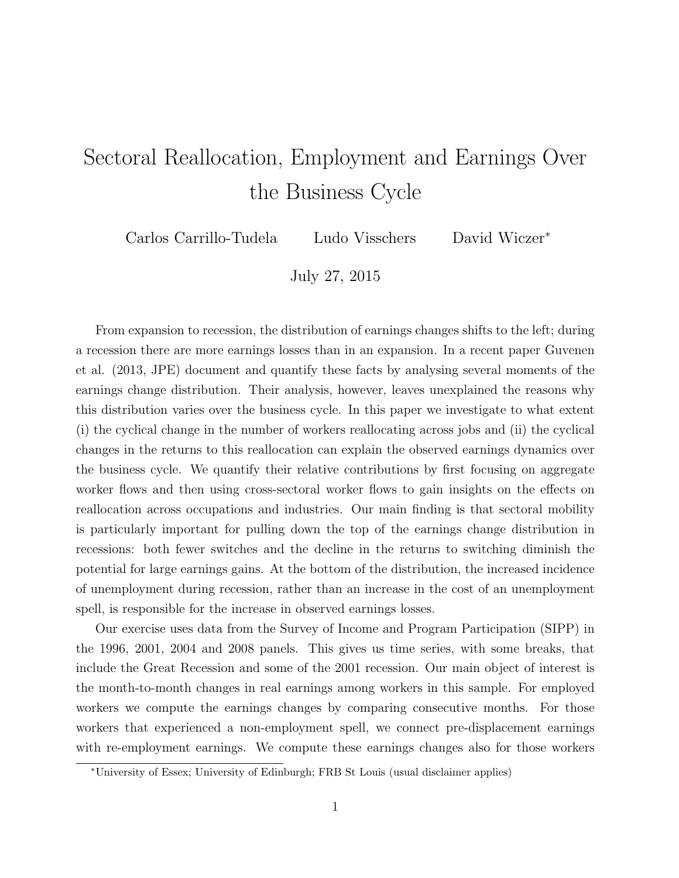## Sectoral Reallocation, Employment and Earnings Over the Business Cycle

Carlos Carrillo-Tudela Ludo Visschers David Wiczer<sup>∗</sup>

July 27, 2015

From expansion to recession, the distribution of earnings changes shifts to the left; during a recession there are more earnings losses than in an expansion. In a recent paper Guvenen et al. (2013, JPE) document and quantify these facts by analysing several moments of the earnings change distribution. Their analysis, however, leaves unexplained the reasons why this distribution varies over the business cycle. In this paper we investigate to what extent (i) the cyclical change in the number of workers reallocating across jobs and (ii) the cyclical changes in the returns to this reallocation can explain the observed earnings dynamics over the business cycle. We quantify their relative contributions by first focusing on aggregate worker flows and then using cross-sectoral worker flows to gain insights on the effects on reallocation across occupations and industries. Our main finding is that sectoral mobility is particularly important for pulling down the top of the earnings change distribution in recessions: both fewer switches and the decline in the returns to switching diminish the potential for large earnings gains. At the bottom of the distribution, the increased incidence of unemployment during recession, rather than an increase in the cost of an unemployment spell, is responsible for the increase in observed earnings losses.

Our exercise uses data from the Survey of Income and Program Participation (SIPP) in the 1996, 2001, 2004 and 2008 panels. This gives us time series, with some breaks, that include the Great Recession and some of the 2001 recession. Our main object of interest is the month-to-month changes in real earnings among workers in this sample. For employed workers we compute the earnings changes by comparing consecutive months. For those workers that experienced a non-employment spell, we connect pre-displacement earnings with re-employment earnings. We compute these earnings changes also for those workers

<sup>∗</sup>University of Essex; University of Edinburgh; FRB St Louis (usual disclaimer applies)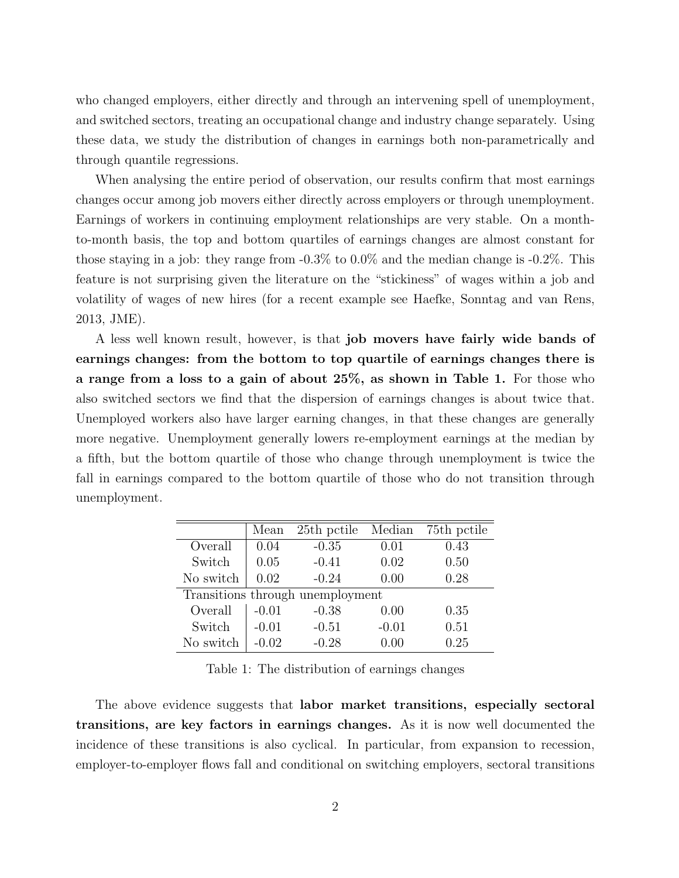who changed employers, either directly and through an intervening spell of unemployment, and switched sectors, treating an occupational change and industry change separately. Using these data, we study the distribution of changes in earnings both non-parametrically and through quantile regressions.

When analysing the entire period of observation, our results confirm that most earnings changes occur among job movers either directly across employers or through unemployment. Earnings of workers in continuing employment relationships are very stable. On a monthto-month basis, the top and bottom quartiles of earnings changes are almost constant for those staying in a job: they range from -0.3% to 0.0% and the median change is -0.2%. This feature is not surprising given the literature on the "stickiness" of wages within a job and volatility of wages of new hires (for a recent example see Haefke, Sonntag and van Rens, 2013, JME).

A less well known result, however, is that job movers have fairly wide bands of earnings changes: from the bottom to top quartile of earnings changes there is a range from a loss to a gain of about 25%, as shown in Table 1. For those who also switched sectors we find that the dispersion of earnings changes is about twice that. Unemployed workers also have larger earning changes, in that these changes are generally more negative. Unemployment generally lowers re-employment earnings at the median by a fifth, but the bottom quartile of those who change through unemployment is twice the fall in earnings compared to the bottom quartile of those who do not transition through unemployment.

|                                  | Mean    | 25th pctile | Median  | 75th pctile |  |  |  |
|----------------------------------|---------|-------------|---------|-------------|--|--|--|
| Overall                          | 0.04    | $-0.35$     | 0.01    | 0.43        |  |  |  |
| Switch                           | 0.05    | $-0.41$     | 0.02    | 0.50        |  |  |  |
| No switch                        | 0.02    | $-0.24$     | 0.00    | 0.28        |  |  |  |
| Transitions through unemployment |         |             |         |             |  |  |  |
| Overall                          | $-0.01$ | $-0.38$     | 0.00    | 0.35        |  |  |  |
| Switch                           | $-0.01$ | $-0.51$     | $-0.01$ | 0.51        |  |  |  |
| No switch                        | $-0.02$ | $-0.28$     | 0.00    | 0.25        |  |  |  |

Table 1: The distribution of earnings changes

The above evidence suggests that labor market transitions, especially sectoral transitions, are key factors in earnings changes. As it is now well documented the incidence of these transitions is also cyclical. In particular, from expansion to recession, employer-to-employer flows fall and conditional on switching employers, sectoral transitions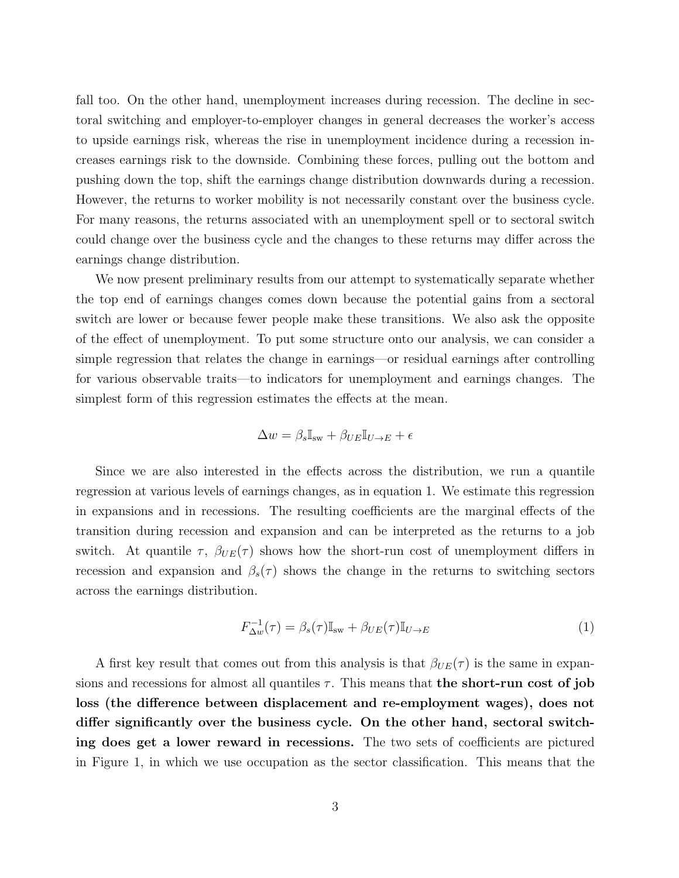fall too. On the other hand, unemployment increases during recession. The decline in sectoral switching and employer-to-employer changes in general decreases the worker's access to upside earnings risk, whereas the rise in unemployment incidence during a recession increases earnings risk to the downside. Combining these forces, pulling out the bottom and pushing down the top, shift the earnings change distribution downwards during a recession. However, the returns to worker mobility is not necessarily constant over the business cycle. For many reasons, the returns associated with an unemployment spell or to sectoral switch could change over the business cycle and the changes to these returns may differ across the earnings change distribution.

We now present preliminary results from our attempt to systematically separate whether the top end of earnings changes comes down because the potential gains from a sectoral switch are lower or because fewer people make these transitions. We also ask the opposite of the effect of unemployment. To put some structure onto our analysis, we can consider a simple regression that relates the change in earnings—or residual earnings after controlling for various observable traits—to indicators for unemployment and earnings changes. The simplest form of this regression estimates the effects at the mean.

$$
\Delta w = \beta_s \mathbb{I}_{sw} + \beta_{UE} \mathbb{I}_{U \to E} + \epsilon
$$

Since we are also interested in the effects across the distribution, we run a quantile regression at various levels of earnings changes, as in equation 1. We estimate this regression in expansions and in recessions. The resulting coefficients are the marginal effects of the transition during recession and expansion and can be interpreted as the returns to a job switch. At quantile  $\tau$ ,  $\beta_{UE}(\tau)$  shows how the short-run cost of unemployment differs in recession and expansion and  $\beta_s(\tau)$  shows the change in the returns to switching sectors across the earnings distribution.

$$
F_{\Delta w}^{-1}(\tau) = \beta_s(\tau)\mathbb{I}_{sw} + \beta_{UE}(\tau)\mathbb{I}_{U \to E}
$$
\n(1)

A first key result that comes out from this analysis is that  $\beta_{UE}(\tau)$  is the same in expansions and recessions for almost all quantiles  $\tau$ . This means that the short-run cost of job loss (the difference between displacement and re-employment wages), does not differ significantly over the business cycle. On the other hand, sectoral switching does get a lower reward in recessions. The two sets of coefficients are pictured in Figure 1, in which we use occupation as the sector classification. This means that the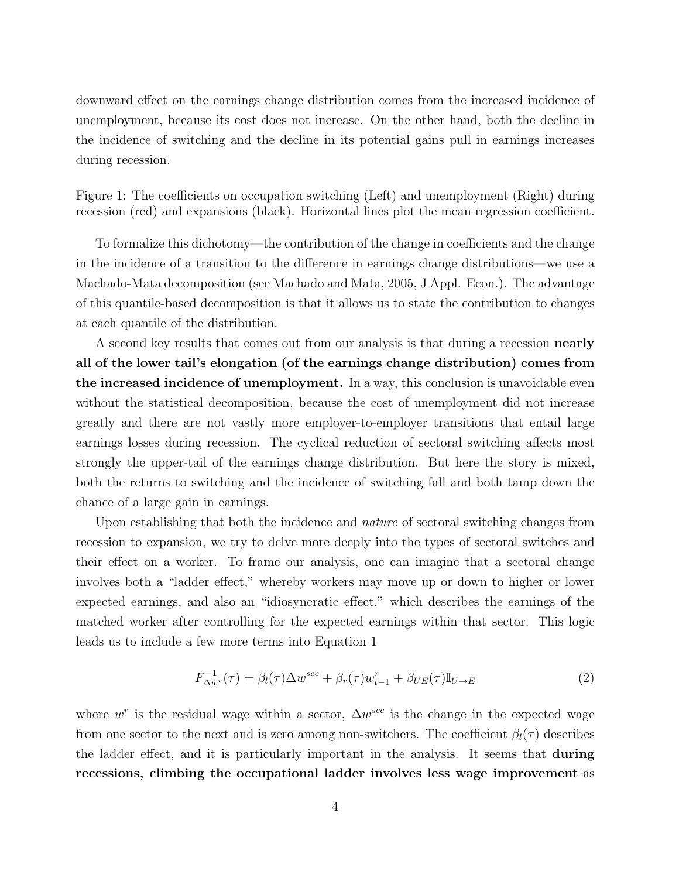downward effect on the earnings change distribution comes from the increased incidence of unemployment, because its cost does not increase. On the other hand, both the decline in the incidence of switching and the decline in its potential gains pull in earnings increases during recession.

Figure 1: The coefficients on occupation switching (Left) and unemployment (Right) during recession (red) and expansions (black). Horizontal lines plot the mean regression coefficient.

To formalize this dichotomy—the contribution of the change in coefficients and the change in the incidence of a transition to the difference in earnings change distributions—we use a Machado-Mata decomposition (see Machado and Mata, 2005, J Appl. Econ.). The advantage of this quantile-based decomposition is that it allows us to state the contribution to changes at each quantile of the distribution.

A second key results that comes out from our analysis is that during a recession nearly all of the lower tail's elongation (of the earnings change distribution) comes from the increased incidence of unemployment. In a way, this conclusion is unavoidable even without the statistical decomposition, because the cost of unemployment did not increase greatly and there are not vastly more employer-to-employer transitions that entail large earnings losses during recession. The cyclical reduction of sectoral switching affects most strongly the upper-tail of the earnings change distribution. But here the story is mixed, both the returns to switching and the incidence of switching fall and both tamp down the chance of a large gain in earnings.

Upon establishing that both the incidence and *nature* of sectoral switching changes from recession to expansion, we try to delve more deeply into the types of sectoral switches and their effect on a worker. To frame our analysis, one can imagine that a sectoral change involves both a "ladder effect," whereby workers may move up or down to higher or lower expected earnings, and also an "idiosyncratic effect," which describes the earnings of the matched worker after controlling for the expected earnings within that sector. This logic leads us to include a few more terms into Equation 1

$$
F_{\Delta w}^{-1}(\tau) = \beta_l(\tau)\Delta w^{sec} + \beta_r(\tau)w_{t-1}^r + \beta_{UE}(\tau)\mathbb{I}_{U\to E}
$$
\n(2)

where  $w^r$  is the residual wage within a sector,  $\Delta w^{sec}$  is the change in the expected wage from one sector to the next and is zero among non-switchers. The coefficient  $\beta_l(\tau)$  describes the ladder effect, and it is particularly important in the analysis. It seems that during recessions, climbing the occupational ladder involves less wage improvement as